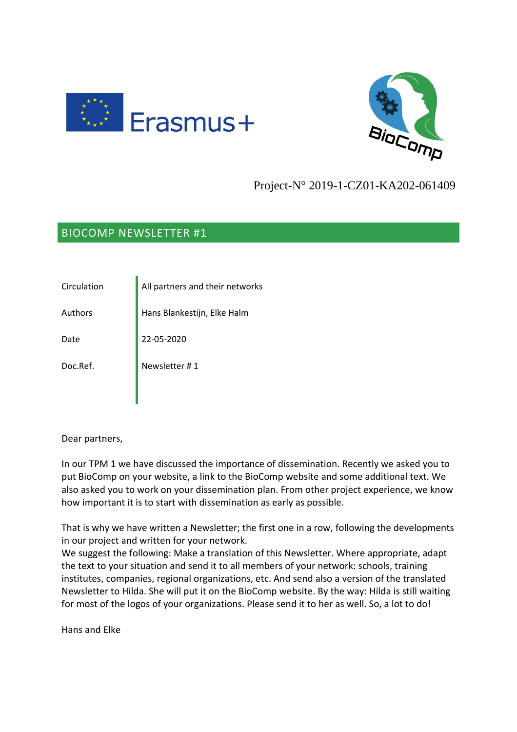



## Project-N° 2019-1-CZ01-KA202-061409

## BIOCOMP NEWSLETTER #1

Circulation **All partners and their networks** Authors **Hans Blankestijn, Elke Halm** Date 22-05-2020 Doc.Ref. Newsletter #1

Dear partners,

In our TPM 1 we have discussed the importance of dissemination. Recently we asked you to put BioComp on your website, a link to the BioComp website and some additional text. We also asked you to work on your dissemination plan. From other project experience, we know how important it is to start with dissemination as early as possible.

That is why we have written a Newsletter; the first one in a row, following the developments in our project and written for your network.

We suggest the following: Make a translation of this Newsletter. Where appropriate, adapt the text to your situation and send it to all members of your network: schools, training institutes, companies, regional organizations, etc. And send also a version of the translated Newsletter to Hilda. She will put it on the BioComp website. By the way: Hilda is still waiting for most of the logos of your organizations. Please send it to her as well. So, a lot to do!

Hans and Elke